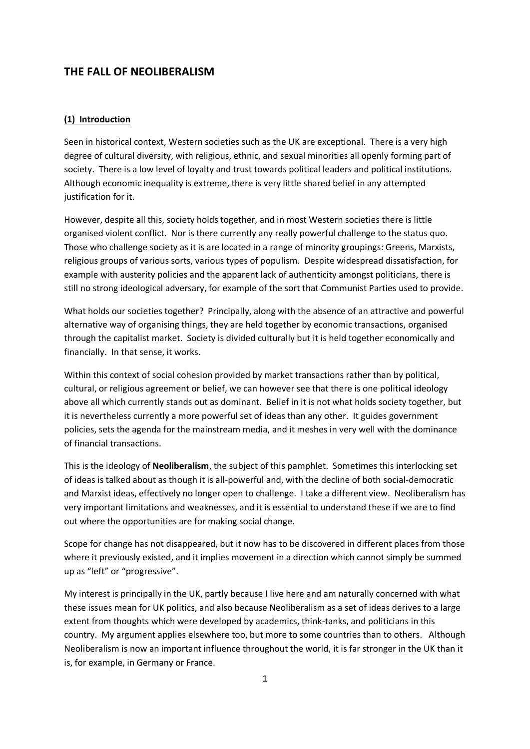# **THE FALL OF NEOLIBERALISM**

### **(1) Introduction**

Seen in historical context, Western societies such as the UK are exceptional. There is a very high degree of cultural diversity, with religious, ethnic, and sexual minorities all openly forming part of society. There is a low level of loyalty and trust towards political leaders and political institutions. Although economic inequality is extreme, there is very little shared belief in any attempted justification for it.

However, despite all this, society holds together, and in most Western societies there is little organised violent conflict. Nor is there currently any really powerful challenge to the status quo. Those who challenge society as it is are located in a range of minority groupings: Greens, Marxists, religious groups of various sorts, various types of populism. Despite widespread dissatisfaction, for example with austerity policies and the apparent lack of authenticity amongst politicians, there is still no strong ideological adversary, for example of the sort that Communist Parties used to provide.

What holds our societies together? Principally, along with the absence of an attractive and powerful alternative way of organising things, they are held together by economic transactions, organised through the capitalist market. Society is divided culturally but it is held together economically and financially. In that sense, it works.

Within this context of social cohesion provided by market transactions rather than by political, cultural, or religious agreement or belief, we can however see that there is one political ideology above all which currently stands out as dominant. Belief in it is not what holds society together, but it is nevertheless currently a more powerful set of ideas than any other. It guides government policies, sets the agenda for the mainstream media, and it meshes in very well with the dominance of financial transactions.

This is the ideology of **Neoliberalism**, the subject of this pamphlet. Sometimes this interlocking set of ideas is talked about as though it is all-powerful and, with the decline of both social-democratic and Marxist ideas, effectively no longer open to challenge. I take a different view. Neoliberalism has very important limitations and weaknesses, and it is essential to understand these if we are to find out where the opportunities are for making social change.

Scope for change has not disappeared, but it now has to be discovered in different places from those where it previously existed, and it implies movement in a direction which cannot simply be summed up as "left" or "progressive".

My interest is principally in the UK, partly because I live here and am naturally concerned with what these issues mean for UK politics, and also because Neoliberalism as a set of ideas derives to a large extent from thoughts which were developed by academics, think-tanks, and politicians in this country. My argument applies elsewhere too, but more to some countries than to others. Although Neoliberalism is now an important influence throughout the world, it is far stronger in the UK than it is, for example, in Germany or France.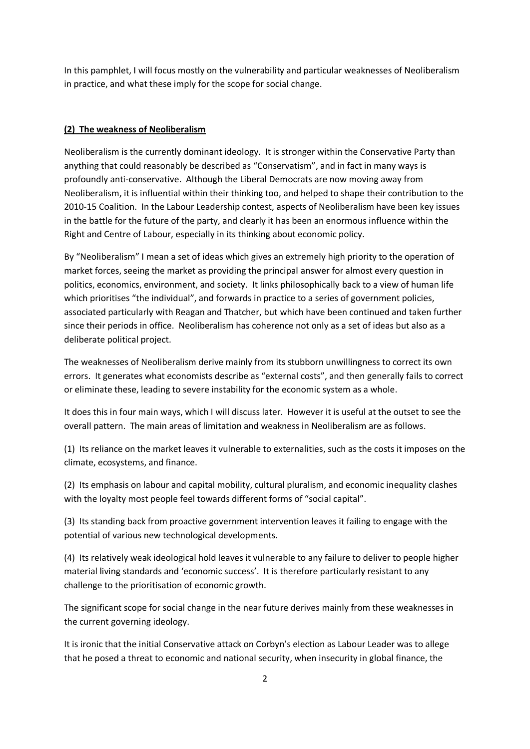In this pamphlet, I will focus mostly on the vulnerability and particular weaknesses of Neoliberalism in practice, and what these imply for the scope for social change.

# **(2) The weakness of Neoliberalism**

Neoliberalism is the currently dominant ideology. It is stronger within the Conservative Party than anything that could reasonably be described as "Conservatism", and in fact in many ways is profoundly anti-conservative. Although the Liberal Democrats are now moving away from Neoliberalism, it is influential within their thinking too, and helped to shape their contribution to the 2010-15 Coalition. In the Labour Leadership contest, aspects of Neoliberalism have been key issues in the battle for the future of the party, and clearly it has been an enormous influence within the Right and Centre of Labour, especially in its thinking about economic policy.

By "Neoliberalism" I mean a set of ideas which gives an extremely high priority to the operation of market forces, seeing the market as providing the principal answer for almost every question in politics, economics, environment, and society. It links philosophically back to a view of human life which prioritises "the individual", and forwards in practice to a series of government policies, associated particularly with Reagan and Thatcher, but which have been continued and taken further since their periods in office. Neoliberalism has coherence not only as a set of ideas but also as a deliberate political project.

The weaknesses of Neoliberalism derive mainly from its stubborn unwillingness to correct its own errors. It generates what economists describe as "external costs", and then generally fails to correct or eliminate these, leading to severe instability for the economic system as a whole.

It does this in four main ways, which I will discuss later. However it is useful at the outset to see the overall pattern. The main areas of limitation and weakness in Neoliberalism are as follows.

(1) Its reliance on the market leaves it vulnerable to externalities, such as the costs it imposes on the climate, ecosystems, and finance.

(2) Its emphasis on labour and capital mobility, cultural pluralism, and economic inequality clashes with the loyalty most people feel towards different forms of "social capital".

(3) Its standing back from proactive government intervention leaves it failing to engage with the potential of various new technological developments.

(4) Its relatively weak ideological hold leaves it vulnerable to any failure to deliver to people higher material living standards and 'economic success'. It is therefore particularly resistant to any challenge to the prioritisation of economic growth.

The significant scope for social change in the near future derives mainly from these weaknesses in the current governing ideology.

It is ironic that the initial Conservative attack on Corbyn's election as Labour Leader was to allege that he posed a threat to economic and national security, when insecurity in global finance, the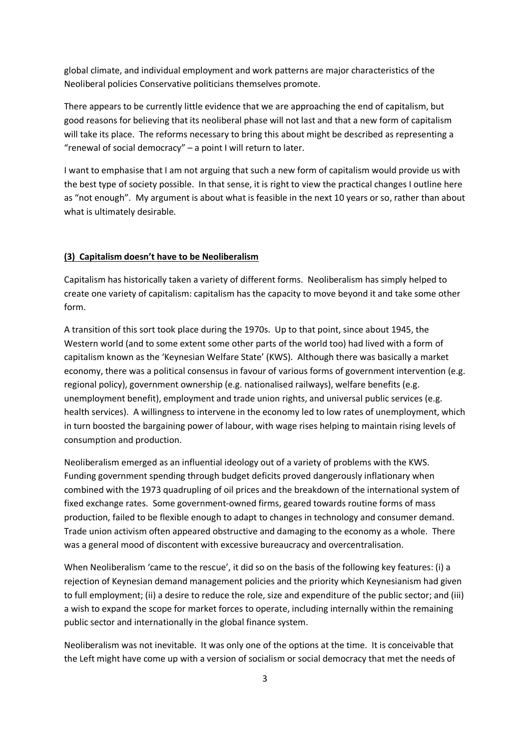global climate, and individual employment and work patterns are major characteristics of the Neoliberal policies Conservative politicians themselves promote.

There appears to be currently little evidence that we are approaching the end of capitalism, but good reasons for believing that its neoliberal phase will not last and that a new form of capitalism will take its place. The reforms necessary to bring this about might be described as representing a "renewal of social democracy" – a point I will return to later.

I want to emphasise that I am not arguing that such a new form of capitalism would provide us with the best type of society possible. In that sense, it is right to view the practical changes I outline here as "not enough". My argument is about what is feasible in the next 10 years or so, rather than about what is ultimately desirable.

#### **(3) Capitalism doesn't have to be Neoliberalism**

Capitalism has historically taken a variety of different forms. Neoliberalism has simply helped to create one variety of capitalism: capitalism has the capacity to move beyond it and take some other form.

A transition of this sort took place during the 1970s. Up to that point, since about 1945, the Western world (and to some extent some other parts of the world too) had lived with a form of capitalism known as the 'Keynesian Welfare State' (KWS). Although there was basically a market economy, there was a political consensus in favour of various forms of government intervention (e.g. regional policy), government ownership (e.g. nationalised railways), welfare benefits (e.g. unemployment benefit), employment and trade union rights, and universal public services (e.g. health services). A willingness to intervene in the economy led to low rates of unemployment, which in turn boosted the bargaining power of labour, with wage rises helping to maintain rising levels of consumption and production.

Neoliberalism emerged as an influential ideology out of a variety of problems with the KWS. Funding government spending through budget deficits proved dangerously inflationary when combined with the 1973 quadrupling of oil prices and the breakdown of the international system of fixed exchange rates. Some government-owned firms, geared towards routine forms of mass production, failed to be flexible enough to adapt to changes in technology and consumer demand. Trade union activism often appeared obstructive and damaging to the economy as a whole. There was a general mood of discontent with excessive bureaucracy and overcentralisation.

When Neoliberalism 'came to the rescue', it did so on the basis of the following key features: (i) a rejection of Keynesian demand management policies and the priority which Keynesianism had given to full employment; (ii) a desire to reduce the role, size and expenditure of the public sector; and (iii) a wish to expand the scope for market forces to operate, including internally within the remaining public sector and internationally in the global finance system.

Neoliberalism was not inevitable. It was only one of the options at the time. It is conceivable that the Left might have come up with a version of socialism or social democracy that met the needs of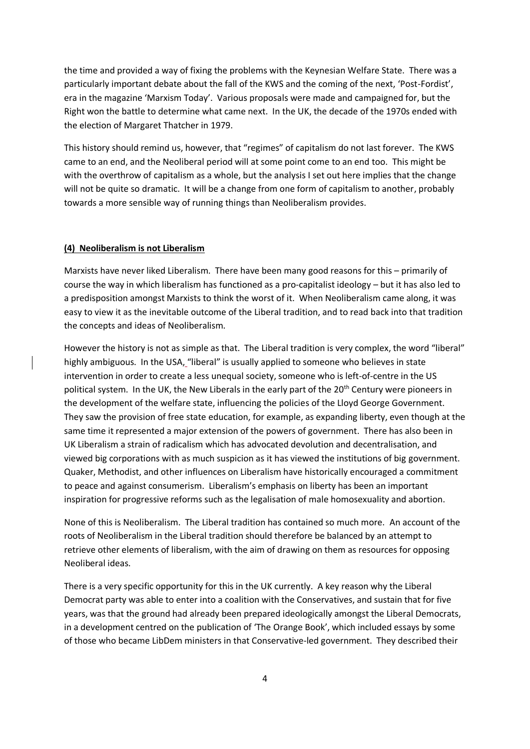the time and provided a way of fixing the problems with the Keynesian Welfare State. There was a particularly important debate about the fall of the KWS and the coming of the next, 'Post-Fordist', era in the magazine 'Marxism Today'. Various proposals were made and campaigned for, but the Right won the battle to determine what came next. In the UK, the decade of the 1970s ended with the election of Margaret Thatcher in 1979.

This history should remind us, however, that "regimes" of capitalism do not last forever. The KWS came to an end, and the Neoliberal period will at some point come to an end too. This might be with the overthrow of capitalism as a whole, but the analysis I set out here implies that the change will not be quite so dramatic. It will be a change from one form of capitalism to another, probably towards a more sensible way of running things than Neoliberalism provides.

## **(4) Neoliberalism is not Liberalism**

Marxists have never liked Liberalism. There have been many good reasons for this – primarily of course the way in which liberalism has functioned as a pro-capitalist ideology – but it has also led to a predisposition amongst Marxists to think the worst of it. When Neoliberalism came along, it was easy to view it as the inevitable outcome of the Liberal tradition, and to read back into that tradition the concepts and ideas of Neoliberalism.

However the history is not as simple as that. The Liberal tradition is very complex, the word "liberal" highly ambiguous. In the USA, "liberal" is usually applied to someone who believes in state intervention in order to create a less unequal society, someone who is left-of-centre in the US political system. In the UK, the New Liberals in the early part of the 20<sup>th</sup> Century were pioneers in the development of the welfare state, influencing the policies of the Lloyd George Government. They saw the provision of free state education, for example, as expanding liberty, even though at the same time it represented a major extension of the powers of government. There has also been in UK Liberalism a strain of radicalism which has advocated devolution and decentralisation, and viewed big corporations with as much suspicion as it has viewed the institutions of big government. Quaker, Methodist, and other influences on Liberalism have historically encouraged a commitment to peace and against consumerism. Liberalism's emphasis on liberty has been an important inspiration for progressive reforms such as the legalisation of male homosexuality and abortion.

None of this is Neoliberalism. The Liberal tradition has contained so much more. An account of the roots of Neoliberalism in the Liberal tradition should therefore be balanced by an attempt to retrieve other elements of liberalism, with the aim of drawing on them as resources for opposing Neoliberal ideas.

There is a very specific opportunity for this in the UK currently. A key reason why the Liberal Democrat party was able to enter into a coalition with the Conservatives, and sustain that for five years, was that the ground had already been prepared ideologically amongst the Liberal Democrats, in a development centred on the publication of 'The Orange Book', which included essays by some of those who became LibDem ministers in that Conservative-led government. They described their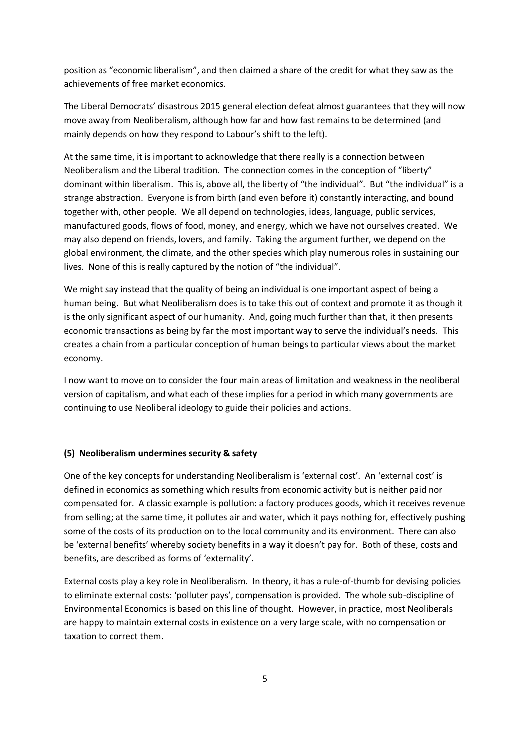position as "economic liberalism", and then claimed a share of the credit for what they saw as the achievements of free market economics.

The Liberal Democrats' disastrous 2015 general election defeat almost guarantees that they will now move away from Neoliberalism, although how far and how fast remains to be determined (and mainly depends on how they respond to Labour's shift to the left).

At the same time, it is important to acknowledge that there really is a connection between Neoliberalism and the Liberal tradition. The connection comes in the conception of "liberty" dominant within liberalism. This is, above all, the liberty of "the individual". But "the individual" is a strange abstraction. Everyone is from birth (and even before it) constantly interacting, and bound together with, other people. We all depend on technologies, ideas, language, public services, manufactured goods, flows of food, money, and energy, which we have not ourselves created. We may also depend on friends, lovers, and family. Taking the argument further, we depend on the global environment, the climate, and the other species which play numerous roles in sustaining our lives. None of this is really captured by the notion of "the individual".

We might say instead that the quality of being an individual is one important aspect of being a human being. But what Neoliberalism does is to take this out of context and promote it as though it is the only significant aspect of our humanity. And, going much further than that, it then presents economic transactions as being by far the most important way to serve the individual's needs. This creates a chain from a particular conception of human beings to particular views about the market economy.

I now want to move on to consider the four main areas of limitation and weakness in the neoliberal version of capitalism, and what each of these implies for a period in which many governments are continuing to use Neoliberal ideology to guide their policies and actions.

#### **(5) Neoliberalism undermines security & safety**

One of the key concepts for understanding Neoliberalism is 'external cost'. An 'external cost' is defined in economics as something which results from economic activity but is neither paid nor compensated for. A classic example is pollution: a factory produces goods, which it receives revenue from selling; at the same time, it pollutes air and water, which it pays nothing for, effectively pushing some of the costs of its production on to the local community and its environment. There can also be 'external benefits' whereby society benefits in a way it doesn't pay for. Both of these, costs and benefits, are described as forms of 'externality'.

External costs play a key role in Neoliberalism. In theory, it has a rule-of-thumb for devising policies to eliminate external costs: 'polluter pays', compensation is provided. The whole sub-discipline of Environmental Economics is based on this line of thought. However, in practice, most Neoliberals are happy to maintain external costs in existence on a very large scale, with no compensation or taxation to correct them.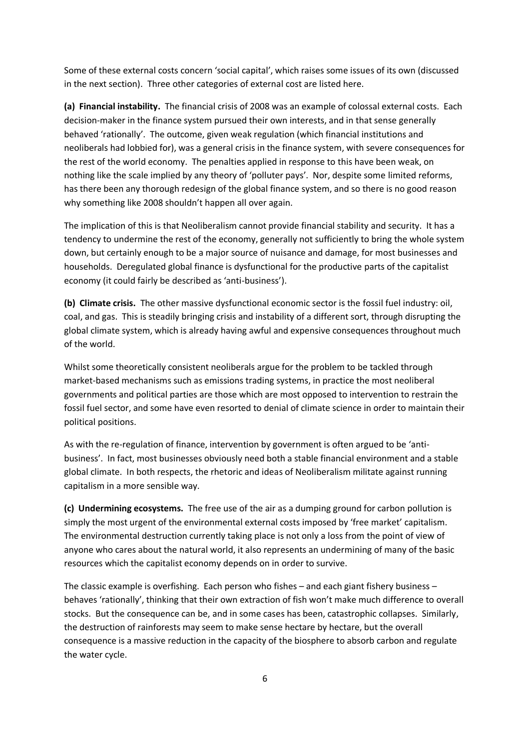Some of these external costs concern 'social capital', which raises some issues of its own (discussed in the next section). Three other categories of external cost are listed here.

**(a) Financial instability.** The financial crisis of 2008 was an example of colossal external costs. Each decision-maker in the finance system pursued their own interests, and in that sense generally behaved 'rationally'. The outcome, given weak regulation (which financial institutions and neoliberals had lobbied for), was a general crisis in the finance system, with severe consequences for the rest of the world economy. The penalties applied in response to this have been weak, on nothing like the scale implied by any theory of 'polluter pays'. Nor, despite some limited reforms, has there been any thorough redesign of the global finance system, and so there is no good reason why something like 2008 shouldn't happen all over again.

The implication of this is that Neoliberalism cannot provide financial stability and security. It has a tendency to undermine the rest of the economy, generally not sufficiently to bring the whole system down, but certainly enough to be a major source of nuisance and damage, for most businesses and households. Deregulated global finance is dysfunctional for the productive parts of the capitalist economy (it could fairly be described as 'anti-business').

**(b) Climate crisis.** The other massive dysfunctional economic sector is the fossil fuel industry: oil, coal, and gas. This is steadily bringing crisis and instability of a different sort, through disrupting the global climate system, which is already having awful and expensive consequences throughout much of the world.

Whilst some theoretically consistent neoliberals argue for the problem to be tackled through market-based mechanisms such as emissions trading systems, in practice the most neoliberal governments and political parties are those which are most opposed to intervention to restrain the fossil fuel sector, and some have even resorted to denial of climate science in order to maintain their political positions.

As with the re-regulation of finance, intervention by government is often argued to be 'antibusiness'. In fact, most businesses obviously need both a stable financial environment and a stable global climate. In both respects, the rhetoric and ideas of Neoliberalism militate against running capitalism in a more sensible way.

**(c) Undermining ecosystems.** The free use of the air as a dumping ground for carbon pollution is simply the most urgent of the environmental external costs imposed by 'free market' capitalism. The environmental destruction currently taking place is not only a loss from the point of view of anyone who cares about the natural world, it also represents an undermining of many of the basic resources which the capitalist economy depends on in order to survive.

The classic example is overfishing. Each person who fishes – and each giant fishery business – behaves 'rationally', thinking that their own extraction of fish won't make much difference to overall stocks. But the consequence can be, and in some cases has been, catastrophic collapses. Similarly, the destruction of rainforests may seem to make sense hectare by hectare, but the overall consequence is a massive reduction in the capacity of the biosphere to absorb carbon and regulate the water cycle.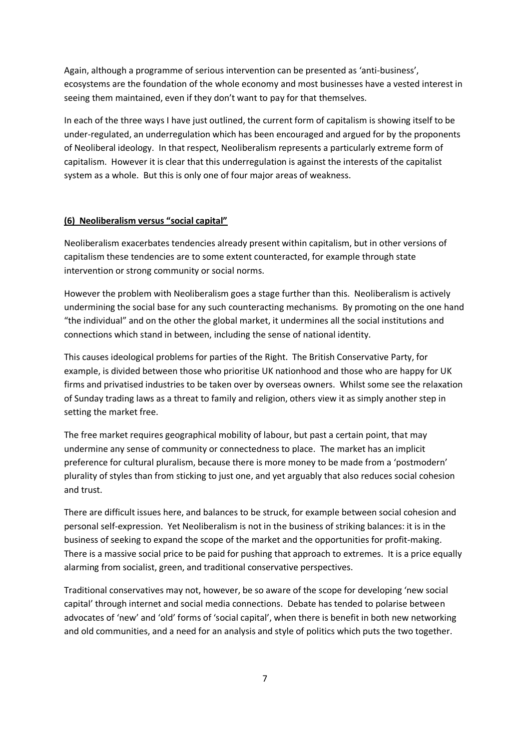Again, although a programme of serious intervention can be presented as 'anti-business', ecosystems are the foundation of the whole economy and most businesses have a vested interest in seeing them maintained, even if they don't want to pay for that themselves.

In each of the three ways I have just outlined, the current form of capitalism is showing itself to be under-regulated, an underregulation which has been encouraged and argued for by the proponents of Neoliberal ideology. In that respect, Neoliberalism represents a particularly extreme form of capitalism. However it is clear that this underregulation is against the interests of the capitalist system as a whole. But this is only one of four major areas of weakness.

## **(6) Neoliberalism versus "social capital"**

Neoliberalism exacerbates tendencies already present within capitalism, but in other versions of capitalism these tendencies are to some extent counteracted, for example through state intervention or strong community or social norms.

However the problem with Neoliberalism goes a stage further than this. Neoliberalism is actively undermining the social base for any such counteracting mechanisms. By promoting on the one hand "the individual" and on the other the global market, it undermines all the social institutions and connections which stand in between, including the sense of national identity.

This causes ideological problems for parties of the Right. The British Conservative Party, for example, is divided between those who prioritise UK nationhood and those who are happy for UK firms and privatised industries to be taken over by overseas owners. Whilst some see the relaxation of Sunday trading laws as a threat to family and religion, others view it as simply another step in setting the market free.

The free market requires geographical mobility of labour, but past a certain point, that may undermine any sense of community or connectedness to place. The market has an implicit preference for cultural pluralism, because there is more money to be made from a 'postmodern' plurality of styles than from sticking to just one, and yet arguably that also reduces social cohesion and trust.

There are difficult issues here, and balances to be struck, for example between social cohesion and personal self-expression. Yet Neoliberalism is not in the business of striking balances: it is in the business of seeking to expand the scope of the market and the opportunities for profit-making. There is a massive social price to be paid for pushing that approach to extremes. It is a price equally alarming from socialist, green, and traditional conservative perspectives.

Traditional conservatives may not, however, be so aware of the scope for developing 'new social capital' through internet and social media connections. Debate has tended to polarise between advocates of 'new' and 'old' forms of 'social capital', when there is benefit in both new networking and old communities, and a need for an analysis and style of politics which puts the two together.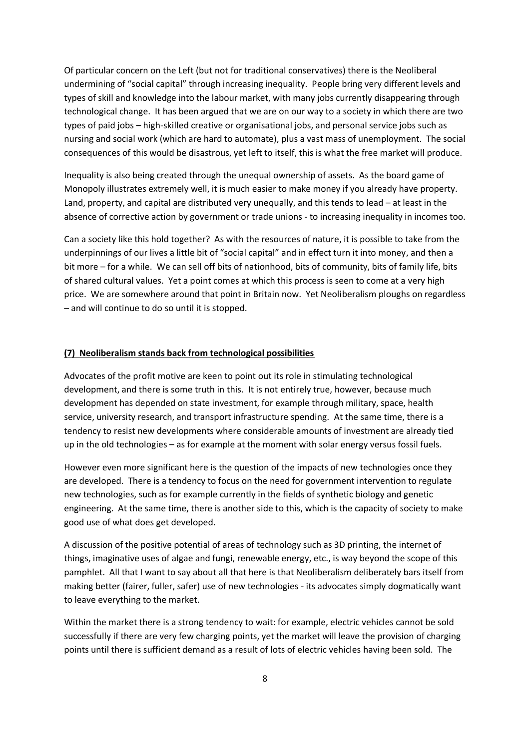Of particular concern on the Left (but not for traditional conservatives) there is the Neoliberal undermining of "social capital" through increasing inequality. People bring very different levels and types of skill and knowledge into the labour market, with many jobs currently disappearing through technological change. It has been argued that we are on our way to a society in which there are two types of paid jobs – high-skilled creative or organisational jobs, and personal service jobs such as nursing and social work (which are hard to automate), plus a vast mass of unemployment. The social consequences of this would be disastrous, yet left to itself, this is what the free market will produce.

Inequality is also being created through the unequal ownership of assets. As the board game of Monopoly illustrates extremely well, it is much easier to make money if you already have property. Land, property, and capital are distributed very unequally, and this tends to lead – at least in the absence of corrective action by government or trade unions - to increasing inequality in incomes too.

Can a society like this hold together? As with the resources of nature, it is possible to take from the underpinnings of our lives a little bit of "social capital" and in effect turn it into money, and then a bit more – for a while. We can sell off bits of nationhood, bits of community, bits of family life, bits of shared cultural values. Yet a point comes at which this process is seen to come at a very high price. We are somewhere around that point in Britain now. Yet Neoliberalism ploughs on regardless – and will continue to do so until it is stopped.

#### **(7) Neoliberalism stands back from technological possibilities**

Advocates of the profit motive are keen to point out its role in stimulating technological development, and there is some truth in this. It is not entirely true, however, because much development has depended on state investment, for example through military, space, health service, university research, and transport infrastructure spending. At the same time, there is a tendency to resist new developments where considerable amounts of investment are already tied up in the old technologies – as for example at the moment with solar energy versus fossil fuels.

However even more significant here is the question of the impacts of new technologies once they are developed. There is a tendency to focus on the need for government intervention to regulate new technologies, such as for example currently in the fields of synthetic biology and genetic engineering. At the same time, there is another side to this, which is the capacity of society to make good use of what does get developed.

A discussion of the positive potential of areas of technology such as 3D printing, the internet of things, imaginative uses of algae and fungi, renewable energy, etc., is way beyond the scope of this pamphlet. All that I want to say about all that here is that Neoliberalism deliberately bars itself from making better (fairer, fuller, safer) use of new technologies - its advocates simply dogmatically want to leave everything to the market.

Within the market there is a strong tendency to wait: for example, electric vehicles cannot be sold successfully if there are very few charging points, yet the market will leave the provision of charging points until there is sufficient demand as a result of lots of electric vehicles having been sold. The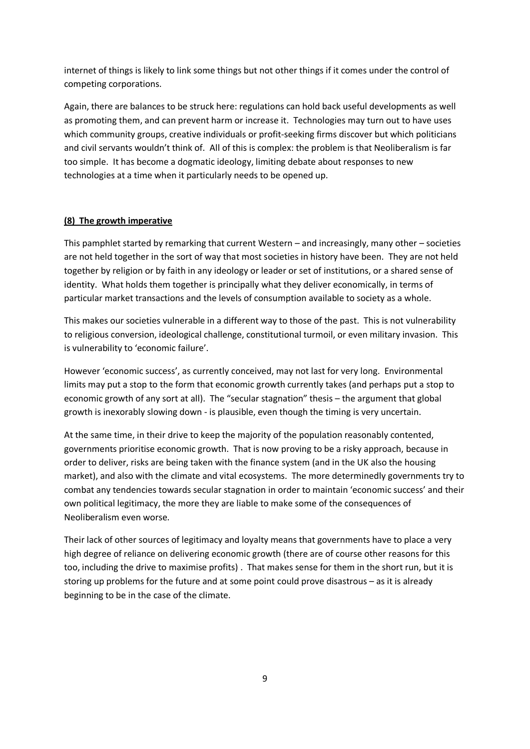internet of things is likely to link some things but not other things if it comes under the control of competing corporations.

Again, there are balances to be struck here: regulations can hold back useful developments as well as promoting them, and can prevent harm or increase it. Technologies may turn out to have uses which community groups, creative individuals or profit-seeking firms discover but which politicians and civil servants wouldn't think of. All of this is complex: the problem is that Neoliberalism is far too simple. It has become a dogmatic ideology, limiting debate about responses to new technologies at a time when it particularly needs to be opened up.

# **(8) The growth imperative**

This pamphlet started by remarking that current Western – and increasingly, many other – societies are not held together in the sort of way that most societies in history have been. They are not held together by religion or by faith in any ideology or leader or set of institutions, or a shared sense of identity. What holds them together is principally what they deliver economically, in terms of particular market transactions and the levels of consumption available to society as a whole.

This makes our societies vulnerable in a different way to those of the past. This is not vulnerability to religious conversion, ideological challenge, constitutional turmoil, or even military invasion. This is vulnerability to 'economic failure'.

However 'economic success', as currently conceived, may not last for very long. Environmental limits may put a stop to the form that economic growth currently takes (and perhaps put a stop to economic growth of any sort at all). The "secular stagnation" thesis – the argument that global growth is inexorably slowing down - is plausible, even though the timing is very uncertain.

At the same time, in their drive to keep the majority of the population reasonably contented, governments prioritise economic growth. That is now proving to be a risky approach, because in order to deliver, risks are being taken with the finance system (and in the UK also the housing market), and also with the climate and vital ecosystems. The more determinedly governments try to combat any tendencies towards secular stagnation in order to maintain 'economic success' and their own political legitimacy, the more they are liable to make some of the consequences of Neoliberalism even worse.

Their lack of other sources of legitimacy and loyalty means that governments have to place a very high degree of reliance on delivering economic growth (there are of course other reasons for this too, including the drive to maximise profits) . That makes sense for them in the short run, but it is storing up problems for the future and at some point could prove disastrous – as it is already beginning to be in the case of the climate.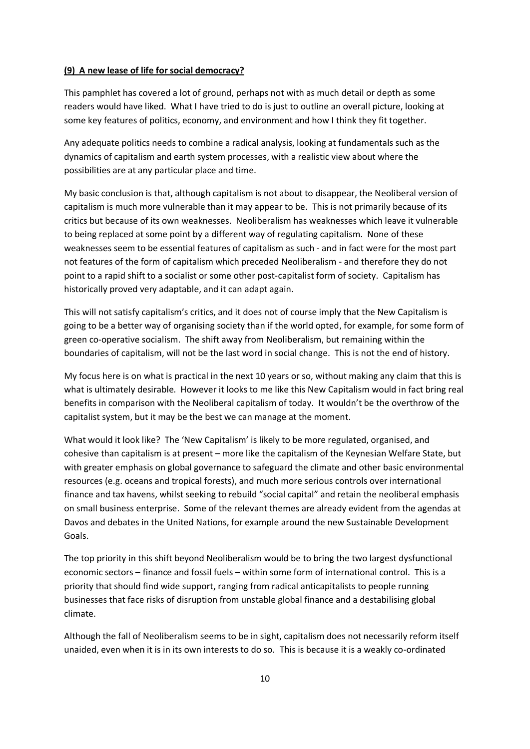### **(9) A new lease of life for social democracy?**

This pamphlet has covered a lot of ground, perhaps not with as much detail or depth as some readers would have liked. What I have tried to do is just to outline an overall picture, looking at some key features of politics, economy, and environment and how I think they fit together.

Any adequate politics needs to combine a radical analysis, looking at fundamentals such as the dynamics of capitalism and earth system processes, with a realistic view about where the possibilities are at any particular place and time.

My basic conclusion is that, although capitalism is not about to disappear, the Neoliberal version of capitalism is much more vulnerable than it may appear to be. This is not primarily because of its critics but because of its own weaknesses. Neoliberalism has weaknesses which leave it vulnerable to being replaced at some point by a different way of regulating capitalism. None of these weaknesses seem to be essential features of capitalism as such - and in fact were for the most part not features of the form of capitalism which preceded Neoliberalism - and therefore they do not point to a rapid shift to a socialist or some other post-capitalist form of society. Capitalism has historically proved very adaptable, and it can adapt again.

This will not satisfy capitalism's critics, and it does not of course imply that the New Capitalism is going to be a better way of organising society than if the world opted, for example, for some form of green co-operative socialism. The shift away from Neoliberalism, but remaining within the boundaries of capitalism, will not be the last word in social change. This is not the end of history.

My focus here is on what is practical in the next 10 years or so, without making any claim that this is what is ultimately desirable. However it looks to me like this New Capitalism would in fact bring real benefits in comparison with the Neoliberal capitalism of today. It wouldn't be the overthrow of the capitalist system, but it may be the best we can manage at the moment.

What would it look like? The 'New Capitalism' is likely to be more regulated, organised, and cohesive than capitalism is at present – more like the capitalism of the Keynesian Welfare State, but with greater emphasis on global governance to safeguard the climate and other basic environmental resources (e.g. oceans and tropical forests), and much more serious controls over international finance and tax havens, whilst seeking to rebuild "social capital" and retain the neoliberal emphasis on small business enterprise. Some of the relevant themes are already evident from the agendas at Davos and debates in the United Nations, for example around the new Sustainable Development Goals.

The top priority in this shift beyond Neoliberalism would be to bring the two largest dysfunctional economic sectors – finance and fossil fuels – within some form of international control. This is a priority that should find wide support, ranging from radical anticapitalists to people running businesses that face risks of disruption from unstable global finance and a destabilising global climate.

Although the fall of Neoliberalism seems to be in sight, capitalism does not necessarily reform itself unaided, even when it is in its own interests to do so. This is because it is a weakly co-ordinated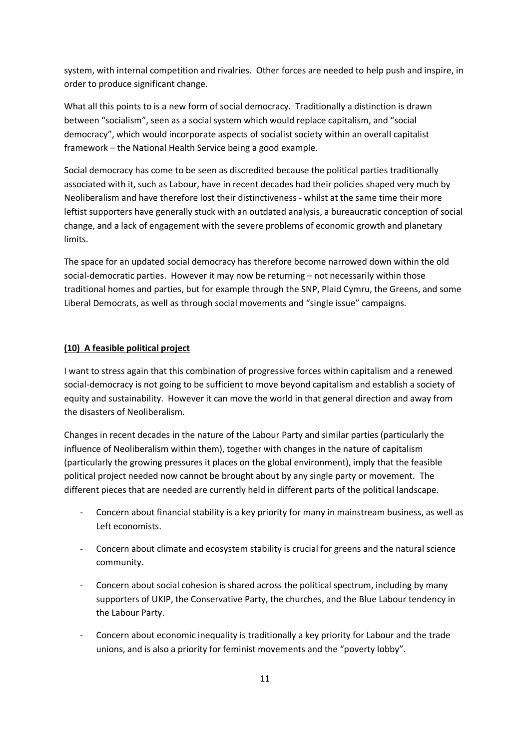system, with internal competition and rivalries. Other forces are needed to help push and inspire, in order to produce significant change.

What all this points to is a new form of social democracy. Traditionally a distinction is drawn between "socialism", seen as a social system which would replace capitalism, and "social democracy", which would incorporate aspects of socialist society within an overall capitalist framework – the National Health Service being a good example.

Social democracy has come to be seen as discredited because the political parties traditionally associated with it, such as Labour, have in recent decades had their policies shaped very much by Neoliberalism and have therefore lost their distinctiveness - whilst at the same time their more leftist supporters have generally stuck with an outdated analysis, a bureaucratic conception of social change, and a lack of engagement with the severe problems of economic growth and planetary limits.

The space for an updated social democracy has therefore become narrowed down within the old social-democratic parties. However it may now be returning – not necessarily within those traditional homes and parties, but for example through the SNP, Plaid Cymru, the Greens, and some Liberal Democrats, as well as through social movements and "single issue" campaigns.

## **(10) A feasible political project**

I want to stress again that this combination of progressive forces within capitalism and a renewed social-democracy is not going to be sufficient to move beyond capitalism and establish a society of equity and sustainability. However it can move the world in that general direction and away from the disasters of Neoliberalism.

Changes in recent decades in the nature of the Labour Party and similar parties (particularly the influence of Neoliberalism within them), together with changes in the nature of capitalism (particularly the growing pressures it places on the global environment), imply that the feasible political project needed now cannot be brought about by any single party or movement. The different pieces that are needed are currently held in different parts of the political landscape.

- Concern about financial stability is a key priority for many in mainstream business, as well as Left economists.
- Concern about climate and ecosystem stability is crucial for greens and the natural science community.
- Concern about social cohesion is shared across the political spectrum, including by many supporters of UKIP, the Conservative Party, the churches, and the Blue Labour tendency in the Labour Party.
- Concern about economic inequality is traditionally a key priority for Labour and the trade unions, and is also a priority for feminist movements and the "poverty lobby".